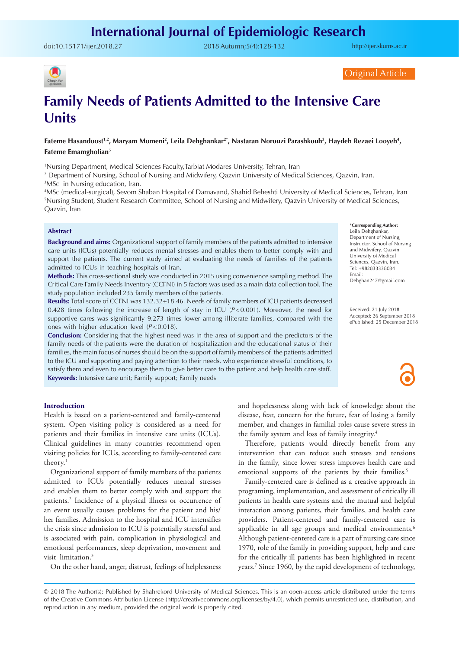doi:[10.15171/ijer.2018.27](https://doi.org/10.15171/ijer.2018.27) 2018 Autumn;5(4):128-132

<http://ijer.skums.ac.ir>



Original Article

# **Family Needs of Patients Admitted to the Intensive Care Units**

Fateme Hasandoost<sup>1,2</sup>, Maryam Momeni<sup>2</sup>, Leila Dehghankar<sup>2+</sup>, Nastaran Norouzi Parashkouh<sup>3</sup>, Haydeh Rezaei Looyeh<sup>4</sup>, **Fateme Emamgholian5**

1 Nursing Department, Medical Sciences Faculty,Tarbiat Modares University, Tehran, Iran

2 Department of Nursing, School of Nursing and Midwifery, Qazvin University of Medical Sciences, Qazvin, Iran. 3 MSc in Nursing education, Iran.

4 MSc (medical-surgical), Sevom Shaban Hospital of Damavand, Shahid Beheshti University of Medical Sciences, Tehran, Iran 5 Nursing Student, Student Research Committee, School of Nursing and Midwifery, Qazvin University of Medical Sciences, Qazvin, Iran

### **Abstract**

**Background and aims:** Organizational support of family members of the patients admitted to intensive care units (ICUs) potentially reduces mental stresses and enables them to better comply with and support the patients. The current study aimed at evaluating the needs of families of the patients admitted to ICUs in teaching hospitals of Iran.

**Methods:** This cross-sectional study was conducted in 2015 using convenience sampling method. The Critical Care Family Needs Inventory (CCFNI) in 5 factors was used as a main data collection tool. The study population included 235 family members of the patients.

**Results:** Total score of CCFNI was 132.32±18.46. Needs of family members of ICU patients decreased 0.428 times following the increase of length of stay in ICU (*P*<0.001). Moreover, the need for supportive cares was significantly 9.273 times lower among illiterate families, compared with the ones with higher education level (*P*<0.018).

**Conclusion:** Considering that the highest need was in the area of support and the predictors of the family needs of the patients were the duration of hospitalization and the educational status of their families, the main focus of nurses should be on the support of family members of the patients admitted to the ICU and supporting and paying attention to their needs, who experience stressful conditions, to satisfy them and even to encourage them to give better care to the patient and help health care staff. **Keywords:** Intensive care unit; Family support; Family needs

## \***Corresponding Author:**

Leila Dehghankar, Department of Nursing, Instructor, School of Nursing and Midwifery, Qazvin University of Medical Sciences, Qazvin, Iran. Tel: +982833338034 Email: Dehghan247@gmail.com

Received: 21 July 2018 Accepted: 26 September 2018 ePublished: 25 December 2018

**Introduction**

Health is based on a patient-centered and family-centered system. Open visiting policy is considered as a need for patients and their families in intensive care units (ICUs). Clinical guidelines in many countries recommend open visiting policies for ICUs, according to family-centered care theory.<sup>1</sup>

Organizational support of family members of the patients admitted to ICUs potentially reduces mental stresses and enables them to better comply with and support the patients.2 Incidence of a physical illness or occurrence of an event usually causes problems for the patient and his/ her families. Admission to the hospital and ICU intensifies the crisis since admission to ICU is potentially stressful and is associated with pain, complication in physiological and emotional performances, sleep deprivation, movement and visit limitation.<sup>3</sup>

On the other hand, anger, distrust, feelings of helplessness

and hopelessness along with lack of knowledge about the disease, fear, concern for the future, fear of losing a family member, and changes in familial roles cause severe stress in the family system and loss of family integrity.<sup>4</sup>

Therefore, patients would directly benefit from any intervention that can reduce such stresses and tensions in the family, since lower stress improves health care and emotional supports of the patients by their families.<sup>5</sup>

Family-centered care is defined as a creative approach in programing, implementation, and assessment of critically ill patients in health care systems and the mutual and helpful interaction among patients, their families, and health care providers. Patient-centered and family-centered care is applicable in all age groups and medical environments.<sup>6</sup> Although patient-centered care is a part of nursing care since 1970, role of the family in providing support, help and care for the critically ill patients has been highlighted in recent years.7 Since 1960, by the rapid development of technology,

<sup>© 2018</sup> The Author(s); Published by Shahrekord University of Medical Sciences. This is an open-access article distributed under the terms of the Creative Commons Attribution License (http://creativecommons.org/licenses/by/4.0), which permits unrestricted use, distribution, and reproduction in any medium, provided the original work is properly cited.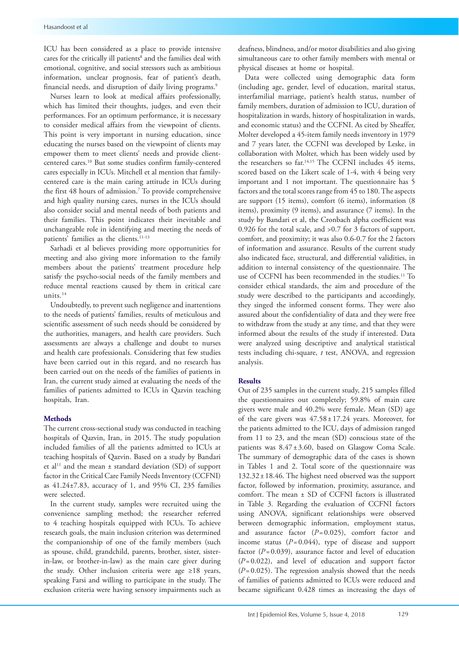ICU has been considered as a place to provide intensive cares for the critically ill patients<sup>8</sup> and the families deal with emotional, cognitive, and social stressors such as ambitious information, unclear prognosis, fear of patient's death, financial needs, and disruption of daily living programs.<sup>9</sup>

Nurses learn to look at medical affairs professionally, which has limited their thoughts, judges, and even their performances. For an optimum performance, it is necessary to consider medical affairs from the viewpoint of clients. This point is very important in nursing education, since educating the nurses based on the viewpoint of clients may empower them to meet clients' needs and provide clientcentered cares.10 But some studies confirm family-centered cares especially in ICUs. Mitchell et al mention that familycentered care is the main caring attitude in ICUs during the first 48 hours of admission.7 To provide comprehensive and high quality nursing cares, nurses in the ICUs should also consider social and mental needs of both patients and their families. This point indicates their inevitable and unchangeable role in identifying and meeting the needs of patients' families as the clients.<sup>11-13</sup>

Sarhadi et al believes providing more opportunities for meeting and also giving more information to the family members about the patients' treatment procedure help satisfy the psycho-social needs of the family members and reduce mental reactions caused by them in critical care units.14

Undoubtedly, to prevent such negligence and inattentions to the needs of patients' families, results of meticulous and scientific assessment of such needs should be considered by the authorities, managers, and health care providers. Such assessments are always a challenge and doubt to nurses and health care professionals. Considering that few studies have been carried out in this regard, and no research has been carried out on the needs of the families of patients in Iran, the current study aimed at evaluating the needs of the families of patients admitted to ICUs in Qazvin teaching hospitals, Iran.

#### **Methods**

The current cross-sectional study was conducted in teaching hospitals of Qazvin, Iran, in 2015. The study population included families of all the patients admitted to ICUs at teaching hospitals of Qazvin. Based on a study by Bandari et al<sup>11</sup> and the mean  $\pm$  standard deviation (SD) of support factor in the Critical Care Family Needs Inventory (CCFNI) as 41.24±7.83, accuracy of 1, and 95% CI, 235 families were selected.

In the current study, samples were recruited using the convenience sampling method; the researcher referred to 4 teaching hospitals equipped with ICUs. To achieve research goals, the main inclusion criterion was determined the companionship of one of the family members (such as spouse, child, grandchild, parents, brother, sister, sisterin-law, or brother-in-law) as the main care giver during the study. Other inclusion criteria were age ≥18 years, speaking Farsi and willing to participate in the study. The exclusion criteria were having sensory impairments such as

deafness, blindness, and/or motor disabilities and also giving simultaneous care to other family members with mental or physical diseases at home or hospital.

Data were collected using demographic data form (including age, gender, level of education, marital status, interfamilial marriage, patient's health status, number of family members, duration of admission to ICU, duration of hospitalization in wards, history of hospitalization in wards, and economic status) and the CCFNI. As cited by Sheaffer, Molter developed a 45-item family needs inventory in 1979 and 7 years later, the CCFNI was developed by Leske, in collaboration with Molter, which has been widely used by the researchers so far.14,15 The CCFNI includes 45 items, scored based on the Likert scale of 1-4, with 4 being very important and 1 not important. The questionnaire has 5 factors and the total scores range from 45 to 180. The aspects are support (15 items), comfort (6 items), information (8 items), proximity (9 items), and assurance (7 items). In the study by Bandari et al, the Cronbach alpha coefficient was 0.926 for the total scale, and >0.7 for 3 factors of support, comfort, and proximity; it was also 0.6-0.7 for the 2 factors of information and assurance. Results of the current study also indicated face, structural, and differential validities, in addition to internal consistency of the questionnaire. The use of CCFNI has been recommended in the studies.11 To consider ethical standards, the aim and procedure of the study were described to the participants and accordingly, they singed the informed consent forms. They were also assured about the confidentiality of data and they were free to withdraw from the study at any time, and that they were informed about the results of the study if interested. Data were analyzed using descriptive and analytical statistical tests including chi-square, *t* test, ANOVA, and regression analysis.

#### **Results**

Out of 235 samples in the current study, 215 samples filled the questionnaires out completely; 59.8% of main care givers were male and 40.2% were female. Mean (SD) age of the care givers was  $47.58 \pm 17.24$  years. Moreover, for the patients admitted to the ICU, days of admission ranged from 11 to 23, and the mean (SD) conscious state of the patients was 8.47 ± 3.60, based on Glasgow Coma Scale. The summary of demographic data of the cases is shown in Tables 1 and 2. Total score of the questionnaire was 132.32±18.46. The highest need observed was the support factor, followed by information, proximity, assurance, and comfort. The mean ± SD of CCFNI factors is illustrated in Table 3. Regarding the evaluation of CCFNI factors using ANOVA, significant relationships were observed between demographic information, employment status, and assurance factor (*P*=0.025), comfort factor and income status  $(P=0.044)$ , type of disease and support factor  $(P=0.039)$ , assurance factor and level of education (*P*=0.022), and level of education and support factor  $(P=0.025)$ . The regression analysis showed that the needs of families of patients admitted to ICUs were reduced and became significant 0.428 times as increasing the days of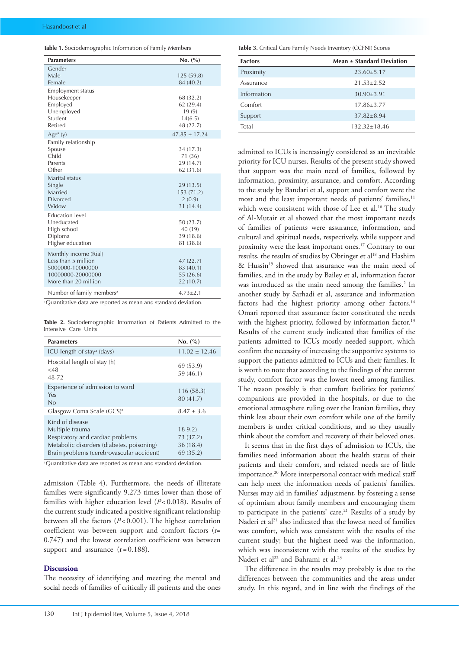| <b>Table 1.</b> Sociodemographic Information of Family Members |
|----------------------------------------------------------------|
|----------------------------------------------------------------|

| <b>Parameters</b>                                                                                             | No. (%)                                                 |
|---------------------------------------------------------------------------------------------------------------|---------------------------------------------------------|
| Gender<br>Male<br>Female                                                                                      | 125(59.8)<br>84 (40.2)                                  |
| <b>Employment status</b><br>Housekeeper<br>Employed<br>Unemployed<br>Student<br>Retired                       | 68 (32.2)<br>62 (29.4)<br>19(9)<br>14(6.5)<br>48 (22.7) |
| Age <sup>a</sup> (y)                                                                                          | $47.85 \pm 17.24$                                       |
| Family relationship<br>Spouse<br>Child<br>Parents<br>Other                                                    | 34 (17.3)<br>71 (36)<br>29 (14.7)<br>62 (31.6)          |
| Marital status<br>Single<br>Married<br><b>Divorced</b><br>Widow                                               | 29(13.5)<br>153 (71.2)<br>2(0.9)<br>31 (14.4)           |
| <b>Education</b> level<br>Uneducated<br>High school<br>Diploma<br>Higher education                            | 50 (23.7)<br>40 (19)<br>39 (18.6)<br>81 (38.6)          |
| Monthly income (Rial)<br>Less than 5 million<br>5000000-10000000<br>10000000-20000000<br>More than 20 million | 47(22.7)<br>83 (40.1)<br>55 (26.6)<br>22 (10.7)         |
| Number of family members <sup>a</sup>                                                                         | $4.73 \pm 2.1$                                          |

aQuantitative data are reported as mean and standard deviation.

**Table 2.** Sociodemographic Information of Patients Admitted to the Intensive Care Units

| <b>Parameters</b>                                                                                                                                                | No. (%)                                      |
|------------------------------------------------------------------------------------------------------------------------------------------------------------------|----------------------------------------------|
| ICU length of stay <sup>a</sup> (days)                                                                                                                           | $11.02 \pm 12.46$                            |
| Hospital length of stay (h)<br>${<}48$<br>48-72                                                                                                                  | 69 (53.9)<br>59 (46.1)                       |
| Experience of admission to ward<br>Yes<br>No                                                                                                                     | 116(58.3)<br>80 (41.7)                       |
| Glasgow Coma Scale (GCS) <sup>a</sup>                                                                                                                            | $8.47 \pm 3.6$                               |
| Kind of disease<br>Multiple trauma<br>Respiratory and cardiac problems<br>Metabolic disorders (diabetes, poisoning)<br>Brain problems (cerebrovascular accident) | 189.2<br>73 (37.2)<br>36 (18.4)<br>69 (35.2) |

<sup>a</sup>Quantitative data are reported as mean and standard deviation.

admission (Table 4). Furthermore, the needs of illiterate families were significantly 9.273 times lower than those of families with higher education level (*P*<0.018). Results of the current study indicated a positive significant relationship between all the factors (*P*<0.001). The highest correlation coefficient was between support and comfort factors (r= 0.747) and the lowest correlation coefficient was between support and assurance  $(r=0.188)$ .

### **Discussion**

The necessity of identifying and meeting the mental and social needs of families of critically ill patients and the ones **Table 3.** Critical Care Family Needs Inventory (CCFNI) Scores

| <b>Factors</b> | Mean $\pm$ Standard Deviation |  |  |  |
|----------------|-------------------------------|--|--|--|
| Proximity      | $23.60 \pm 5.17$              |  |  |  |
| Assurance      | $21.53 + 2.52$                |  |  |  |
| Information    | $30.90 \pm 3.91$              |  |  |  |
| Comfort        | $17.86 + 3.77$                |  |  |  |
| Support        | $37.82 + 8.94$                |  |  |  |
| Total          | $132.32 \pm 18.46$            |  |  |  |

admitted to ICUs is increasingly considered as an inevitable priority for ICU nurses. Results of the present study showed that support was the main need of families, followed by information, proximity, assurance, and comfort. According to the study by Bandari et al, support and comfort were the most and the least important needs of patients' families,<sup>11</sup> which were consistent with those of Lee et al.<sup>16</sup> The study of Al-Mutair et al showed that the most important needs of families of patients were assurance, information, and cultural and spiritual needs, respectively, while support and proximity were the least important ones.<sup>17</sup> Contrary to our results, the results of studies by Obringer et al<sup>18</sup> and Hashim & Hussin<sup>19</sup> showed that assurance was the main need of families, and in the study by Bailey et al, information factor was introduced as the main need among the families.<sup>2</sup> In another study by Sarhadi et al, assurance and information factors had the highest priority among other factors.<sup>14</sup> Omari reported that assurance factor constituted the needs with the highest priority, followed by information factor.<sup>13</sup> Results of the current study indicated that families of the patients admitted to ICUs mostly needed support, which confirm the necessity of increasing the supportive systems to support the patients admitted to ICUs and their families. It is worth to note that according to the findings of the current study, comfort factor was the lowest need among families. The reason possibly is that comfort facilities for patients' companions are provided in the hospitals, or due to the emotional atmosphere ruling over the Iranian families, they think less about their own comfort while one of the family members is under critical conditions, and so they usually think about the comfort and recovery of their beloved ones.

It seems that in the first days of admission to ICUs, the families need information about the health status of their patients and their comfort, and related needs are of little importance.<sup>20</sup> More interpersonal contact with medical staff can help meet the information needs of patients' families. Nurses may aid in families' adjustment, by fostering a sense of optimism about family members and encouraging them to participate in the patients' care.<sup>21</sup> Results of a study by Naderi et al<sup>21</sup> also indicated that the lowest need of families was comfort, which was consistent with the results of the current study; but the highest need was the information, which was inconsistent with the results of the studies by Naderi et al<sup>22</sup> and Bahrami et al.<sup>23</sup>

The difference in the results may probably is due to the differences between the communities and the areas under study. In this regard, and in line with the findings of the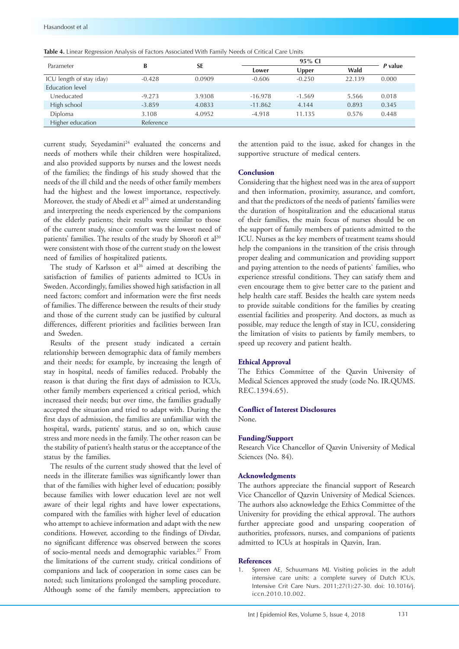| Parameter                | B         | <b>SE</b> | 95% CI    |          |        | P value |
|--------------------------|-----------|-----------|-----------|----------|--------|---------|
|                          |           |           | Lower     | Upper    | Wald   |         |
| ICU length of stay (day) | $-0.428$  | 0.0909    | $-0.606$  | $-0.250$ | 22.139 | 0.000   |
| <b>Education</b> level   |           |           |           |          |        |         |
| Uneducated               | $-9.273$  | 3.9308    | $-16.978$ | $-1.569$ | 5.566  | 0.018   |
| High school              | $-3.859$  | 4.0833    | $-11.862$ | 4.144    | 0.893  | 0.345   |
| Diploma                  | 3.108     | 4.0952    | $-4.918$  | 11.135   | 0.576  | 0.448   |
| Higher education         | Reference |           |           |          |        |         |

**Table 4.** Linear Regression Analysis of Factors Associated With Family Needs of Critical Care Units

current study, Seyedamini<sup>24</sup> evaluated the concerns and needs of mothers while their children were hospitalized, and also provided supports by nurses and the lowest needs of the families; the findings of his study showed that the needs of the ill child and the needs of other family members had the highest and the lowest importance, respectively. Moreover, the study of Abedi et al<sup>25</sup> aimed at understanding and interpreting the needs experienced by the companions of the elderly patients; their results were similar to those of the current study, since comfort was the lowest need of patients' families. The results of the study by Shorofi et al<sup>20</sup> were consistent with those of the current study on the lowest need of families of hospitalized patients.

The study of Karlsson et  $al^{26}$  aimed at describing the satisfaction of families of patients admitted to ICUs in Sweden. Accordingly, families showed high satisfaction in all need factors; comfort and information were the first needs of families. The difference between the results of their study and those of the current study can be justified by cultural differences, different priorities and facilities between Iran and Sweden.

Results of the present study indicated a certain relationship between demographic data of family members and their needs; for example, by increasing the length of stay in hospital, needs of families reduced. Probably the reason is that during the first days of admission to ICUs, other family members experienced a critical period, which increased their needs; but over time, the families gradually accepted the situation and tried to adapt with. During the first days of admission, the families are unfamiliar with the hospital, wards, patients' status, and so on, which cause stress and more needs in the family. The other reason can be the stability of patient's health status or the acceptance of the status by the families.

The results of the current study showed that the level of needs in the illiterate families was significantly lower than that of the families with higher level of education; possibly because families with lower education level are not well aware of their legal rights and have lower expectations, compared with the families with higher level of education who attempt to achieve information and adapt with the new conditions. However, according to the findings of Divdar, no significant difference was observed between the scores of socio-mental needs and demographic variables.<sup>27</sup> From the limitations of the current study, critical conditions of companions and lack of cooperation in some cases can be noted; such limitations prolonged the sampling procedure. Although some of the family members, appreciation to

the attention paid to the issue, asked for changes in the supportive structure of medical centers.

#### **Conclusion**

Considering that the highest need was in the area of support and then information, proximity, assurance, and comfort, and that the predictors of the needs of patients' families were the duration of hospitalization and the educational status of their families, the main focus of nurses should be on the support of family members of patients admitted to the ICU. Nurses as the key members of treatment teams should help the companions in the transition of the crisis through proper dealing and communication and providing support and paying attention to the needs of patients` families, who experience stressful conditions. They can satisfy them and even encourage them to give better care to the patient and help health care staff. Besides the health care system needs to provide suitable conditions for the families by creating essential facilities and prosperity. And doctors, as much as possible, may reduce the length of stay in ICU, considering the limitation of visits to patients by family members, to speed up recovery and patient health.

#### **Ethical Approval**

The Ethics Committee of the Qazvin University of Medical Sciences approved the study (code No. IR.QUMS. REC.1394.65).

## **Conflict of Interest Disclosures**

None.

### **Funding/Support**

Research Vice Chancellor of Qazvin University of Medical Sciences (No. 84).

#### **Acknowledgments**

The authors appreciate the financial support of Research Vice Chancellor of Qazvin University of Medical Sciences. The authors also acknowledge the Ethics Committee of the University for providing the ethical approval. The authors further appreciate good and unsparing cooperation of authorities, professors, nurses, and companions of patients admitted to ICUs at hospitals in Qazvin, Iran.

## **References**

1. Spreen AE, Schuurmans MJ. Visiting policies in the adult intensive care units: a complete survey of Dutch ICUs. Intensive Crit Care Nurs. 2011;27(1):27-30. doi: 10.1016/j. iccn.2010.10.002.